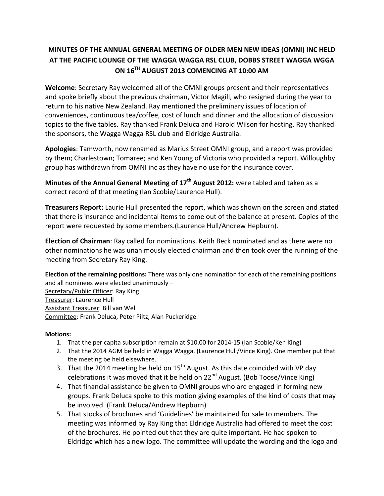# **MINUTES OF THE ANNUAL GENERAL MEETING OF OLDER MEN NEW IDEAS (OMNI) INC HELD AT THE PACIFIC LOUNGE OF THE WAGGA WAGGA RSL CLUB, DOBBS STREET WAGGA WGGA ON 16TH AUGUST 2013 COMENCING AT 10:00 AM**

**Welcome**: Secretary Ray welcomed all of the OMNI groups present and their representatives and spoke briefly about the previous chairman, Victor Magill, who resigned during the year to return to his native New Zealand. Ray mentioned the preliminary issues of location of conveniences, continuous tea/coffee, cost of lunch and dinner and the allocation of discussion topics to the five tables. Ray thanked Frank Deluca and Harold Wilson for hosting. Ray thanked the sponsors, the Wagga Wagga RSL club and Eldridge Australia.

**Apologies**: Tamworth, now renamed as Marius Street OMNI group, and a report was provided by them; Charlestown; Tomaree; and Ken Young of Victoria who provided a report. Willoughby group has withdrawn from OMNI inc as they have no use for the insurance cover.

**Minutes of the Annual General Meeting of 17th August 2012:** were tabled and taken as a correct record of that meeting (Ian Scobie/Laurence Hull).

**Treasurers Report:** Laurie Hull presented the report, which was shown on the screen and stated that there is insurance and incidental items to come out of the balance at present. Copies of the report were requested by some members.(Laurence Hull/Andrew Hepburn).

**Election of Chairman**: Ray called for nominations. Keith Beck nominated and as there were no other nominations he was unanimously elected chairman and then took over the running of the meeting from Secretary Ray King.

**Election of the remaining positions:** There was only one nomination for each of the remaining positions and all nominees were elected unanimously – Secretary/Public Officer: Ray King Treasurer: Laurence Hull Assistant Treasurer: Bill van Wel Committee: Frank Deluca, Peter Piltz, Alan Puckeridge.

## **Motions:**

- 1. That the per capita subscription remain at \$10.00 for 2014-15 (Ian Scobie/Ken King)
- 2. That the 2014 AGM be held in Wagga Wagga. (Laurence Hull/Vince King). One member put that the meeting be held elsewhere.
- 3. That the 2014 meeting be held on  $15<sup>th</sup>$  August. As this date coincided with VP day celebrations it was moved that it be held on 22<sup>nd</sup> August. (Bob Toose/Vince King)
- 4. That financial assistance be given to OMNI groups who are engaged in forming new groups. Frank Deluca spoke to this motion giving examples of the kind of costs that may be involved. (Frank Deluca/Andrew Hepburn)
- 5. That stocks of brochures and 'Guidelines' be maintained for sale to members. The meeting was informed by Ray King that Eldridge Australia had offered to meet the cost of the brochures. He pointed out that they are quite important. He had spoken to Eldridge which has a new logo. The committee will update the wording and the logo and